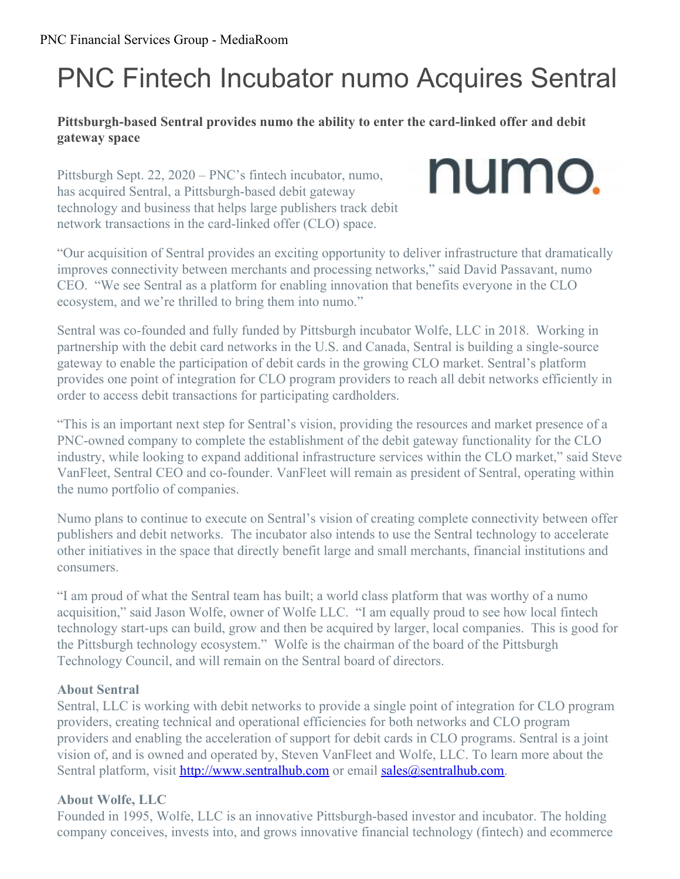# PNC Fintech Incubator numo Acquires Sentral

## **Pittsburgh-based Sentral provides numo the ability to enter the card-linked offer and debit gateway space**

Pittsburgh Sept. 22, 2020 – PNC's fintech incubator, numo, has acquired Sentral, a Pittsburgh-based debit gateway technology and business that helps large publishers track debit network transactions in the card-linked offer (CLO) space.



"Our acquisition of Sentral provides an exciting opportunity to deliver infrastructure that dramatically improves connectivity between merchants and processing networks," said David Passavant, numo CEO. "We see Sentral as a platform for enabling innovation that benefits everyone in the CLO ecosystem, and we're thrilled to bring them into numo."

Sentral was co-founded and fully funded by Pittsburgh incubator Wolfe, LLC in 2018. Working in partnership with the debit card networks in the U.S. and Canada, Sentral is building a single-source gateway to enable the participation of debit cards in the growing CLO market. Sentral's platform provides one point of integration for CLO program providers to reach all debit networks efficiently in order to access debit transactions for participating cardholders.

"This is an important next step for Sentral's vision, providing the resources and market presence of a PNC-owned company to complete the establishment of the debit gateway functionality for the CLO industry, while looking to expand additional infrastructure services within the CLO market," said Steve VanFleet, Sentral CEO and co-founder. VanFleet will remain as president of Sentral, operating within the numo portfolio of companies.

Numo plans to continue to execute on Sentral's vision of creating complete connectivity between offer publishers and debit networks. The incubator also intends to use the Sentral technology to accelerate other initiatives in the space that directly benefit large and small merchants, financial institutions and consumers.

"I am proud of what the Sentral team has built; a world class platform that was worthy of a numo acquisition," said Jason Wolfe, owner of Wolfe LLC. "I am equally proud to see how local fintech technology start-ups can build, grow and then be acquired by larger, local companies. This is good for the Pittsburgh technology ecosystem." Wolfe is the chairman of the board of the Pittsburgh Technology Council, and will remain on the Sentral board of directors.

## **About Sentral**

Sentral, LLC is working with debit networks to provide a single point of integration for CLO program providers, creating technical and operational efficiencies for both networks and CLO program providers and enabling the acceleration of support for debit cards in CLO programs. Sentral is a joint vision of, and is owned and operated by, Steven VanFleet and Wolfe, LLC. To learn more about the Sentral platform, visit <http://www.sentralhub.com> or email [sales@sentralhub.com](mailto:sales@sentralhub.com).

## **About Wolfe, LLC**

Founded in 1995, Wolfe, LLC is an innovative Pittsburgh-based investor and incubator. The holding company conceives, invests into, and grows innovative financial technology (fintech) and ecommerce